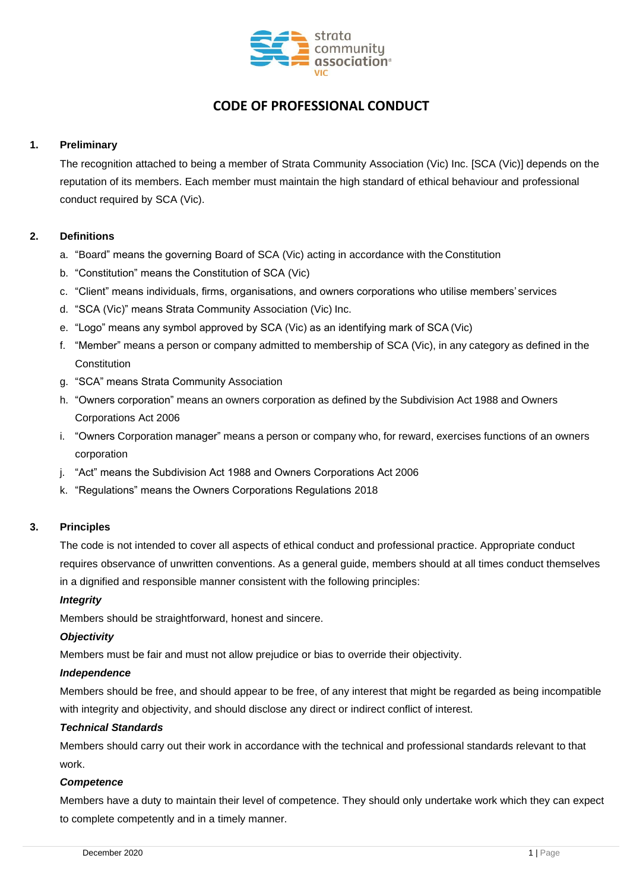

# **CODE OF PROFESSIONAL CONDUCT**

# **1. Preliminary**

The recognition attached to being a member of Strata Community Association (Vic) Inc. [SCA (Vic)] depends on the reputation of its members. Each member must maintain the high standard of ethical behaviour and professional conduct required by SCA (Vic).

# **2. Definitions**

- a. "Board" means the governing Board of SCA (Vic) acting in accordance with the Constitution
- b. "Constitution" means the Constitution of SCA (Vic)
- c. "Client" means individuals, firms, organisations, and owners corporations who utilise members' services
- d. "SCA (Vic)" means Strata Community Association (Vic) Inc.
- e. "Logo" means any symbol approved by SCA (Vic) as an identifying mark of SCA (Vic)
- f. "Member" means a person or company admitted to membership of SCA (Vic), in any category as defined in the **Constitution**
- g. "SCA" means Strata Community Association
- h. "Owners corporation" means an owners corporation as defined by the Subdivision Act 1988 and Owners Corporations Act 2006
- i. "Owners Corporation manager" means a person or company who, for reward, exercises functions of an owners corporation
- j. "Act" means the Subdivision Act 1988 and Owners Corporations Act 2006
- k. "Regulations" means the Owners Corporations Regulations 2018

## **3. Principles**

The code is not intended to cover all aspects of ethical conduct and professional practice. Appropriate conduct requires observance of unwritten conventions. As a general guide, members should at all times conduct themselves in a dignified and responsible manner consistent with the following principles:

## *Integrity*

Members should be straightforward, honest and sincere.

## *Objectivity*

Members must be fair and must not allow prejudice or bias to override their objectivity.

## *Independence*

Members should be free, and should appear to be free, of any interest that might be regarded as being incompatible with integrity and objectivity, and should disclose any direct or indirect conflict of interest.

## *Technical Standards*

Members should carry out their work in accordance with the technical and professional standards relevant to that work.

## *Competence*

Members have a duty to maintain their level of competence. They should only undertake work which they can expect to complete competently and in a timely manner.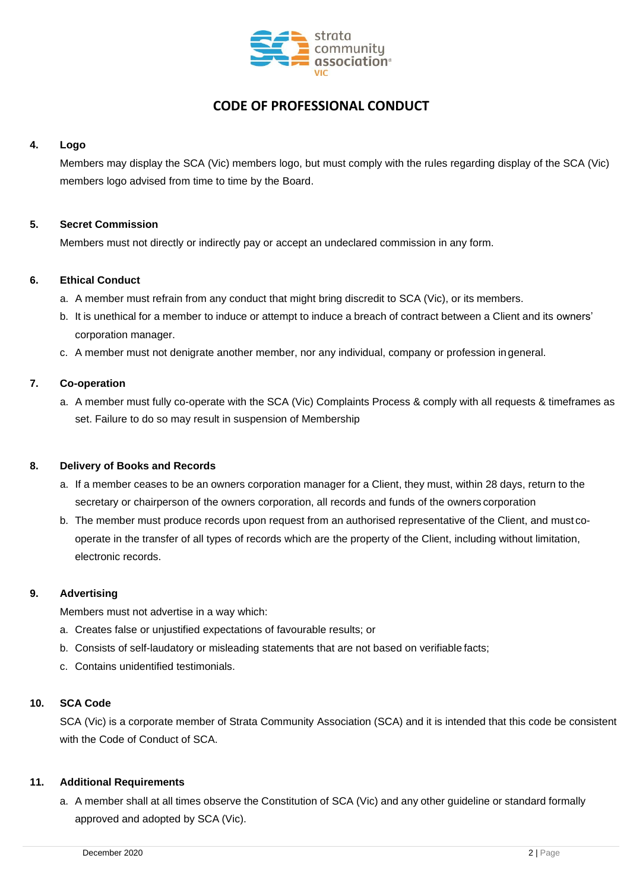

# **CODE OF PROFESSIONAL CONDUCT**

# **4. Logo**

Members may display the SCA (Vic) members logo, but must comply with the rules regarding display of the SCA (Vic) members logo advised from time to time by the Board.

# **5. Secret Commission**

Members must not directly or indirectly pay or accept an undeclared commission in any form.

## **6. Ethical Conduct**

- a. A member must refrain from any conduct that might bring discredit to SCA (Vic), or its members.
- b. It is unethical for a member to induce or attempt to induce a breach of contract between a Client and its owners' corporation manager.
- c. A member must not denigrate another member, nor any individual, company or profession ingeneral.

# **7. Co-operation**

a. A member must fully co-operate with the SCA (Vic) Complaints Process & comply with all requests & timeframes as set. Failure to do so may result in suspension of Membership

## **8. Delivery of Books and Records**

- a. If a member ceases to be an owners corporation manager for a Client, they must, within 28 days, return to the secretary or chairperson of the owners corporation, all records and funds of the owners corporation
- b. The member must produce records upon request from an authorised representative of the Client, and must cooperate in the transfer of all types of records which are the property of the Client, including without limitation, electronic records.

## **9. Advertising**

Members must not advertise in a way which:

- a. Creates false or unjustified expectations of favourable results; or
- b. Consists of self-laudatory or misleading statements that are not based on verifiable facts;
- c. Contains unidentified testimonials.

## **10. SCA Code**

SCA (Vic) is a corporate member of Strata Community Association (SCA) and it is intended that this code be consistent with the Code of Conduct of SCA.

# **11. Additional Requirements**

a. A member shall at all times observe the Constitution of SCA (Vic) and any other guideline or standard formally approved and adopted by SCA (Vic).